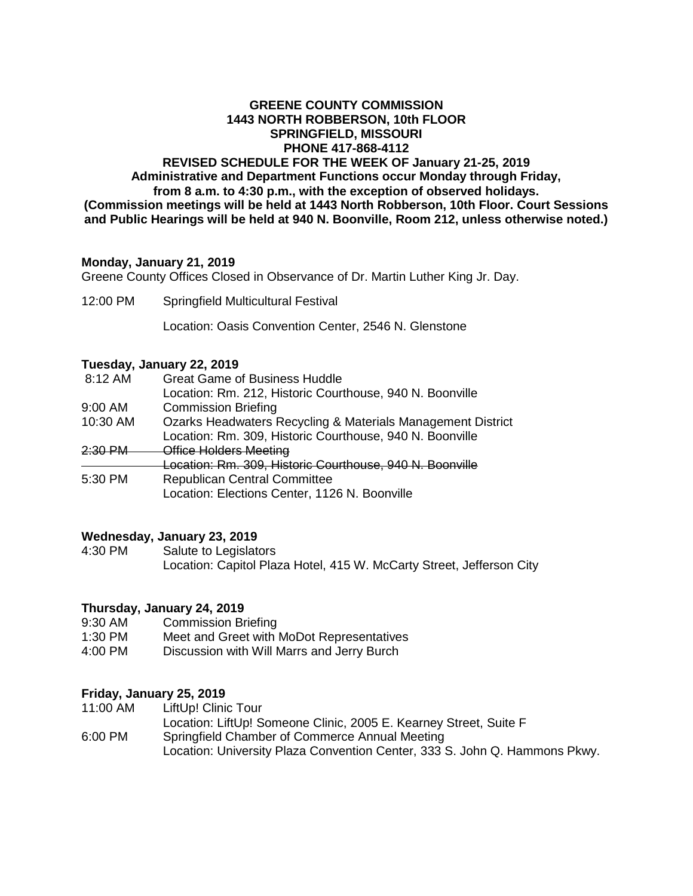## **GREENE COUNTY COMMISSION 1443 NORTH ROBBERSON, 10th FLOOR SPRINGFIELD, MISSOURI PHONE 417-868-4112 REVISED SCHEDULE FOR THE WEEK OF January 21-25, 2019 Administrative and Department Functions occur Monday through Friday, from 8 a.m. to 4:30 p.m., with the exception of observed holidays. (Commission meetings will be held at 1443 North Robberson, 10th Floor. Court Sessions and Public Hearings will be held at 940 N. Boonville, Room 212, unless otherwise noted.)**

# **Monday, January 21, 2019**

Greene County Offices Closed in Observance of Dr. Martin Luther King Jr. Day.

12:00 PM Springfield Multicultural Festival

Location: Oasis Convention Center, 2546 N. Glenstone

### **Tuesday, January 22, 2019**

| 8:12 AM   | <b>Great Game of Business Huddle</b>                        |
|-----------|-------------------------------------------------------------|
|           | Location: Rm. 212, Historic Courthouse, 940 N. Boonville    |
| 9:00 AM   | <b>Commission Briefing</b>                                  |
| 10:30 AM  | Ozarks Headwaters Recycling & Materials Management District |
|           | Location: Rm. 309, Historic Courthouse, 940 N. Boonville    |
| $2.30$ PM | Office Holders Meeting                                      |
|           | Location: Rm. 309, Historic Courthouse, 940 N. Boonville    |
| 5:30 PM   | <b>Republican Central Committee</b>                         |
|           | Location: Elections Center, 1126 N. Boonville               |
|           |                                                             |

### **Wednesday, January 23, 2019**

4:30 PM Salute to Legislators Location: Capitol Plaza Hotel, 415 W. McCarty Street, Jefferson City

### **Thursday, January 24, 2019**

- 9:30 AM Commission Briefing<br>1:30 PM Meet and Greet with I
- Meet and Greet with MoDot Representatives
- 4:00 PM Discussion with Will Marrs and Jerry Burch

### **Friday, January 25, 2019**

- 11:00 AM LiftUp! Clinic Tour
- Location: LiftUp! Someone Clinic, 2005 E. Kearney Street, Suite F 6:00 PM Springfield Chamber of Commerce Annual Meeting Location: University Plaza Convention Center, 333 S. John Q. Hammons Pkwy.